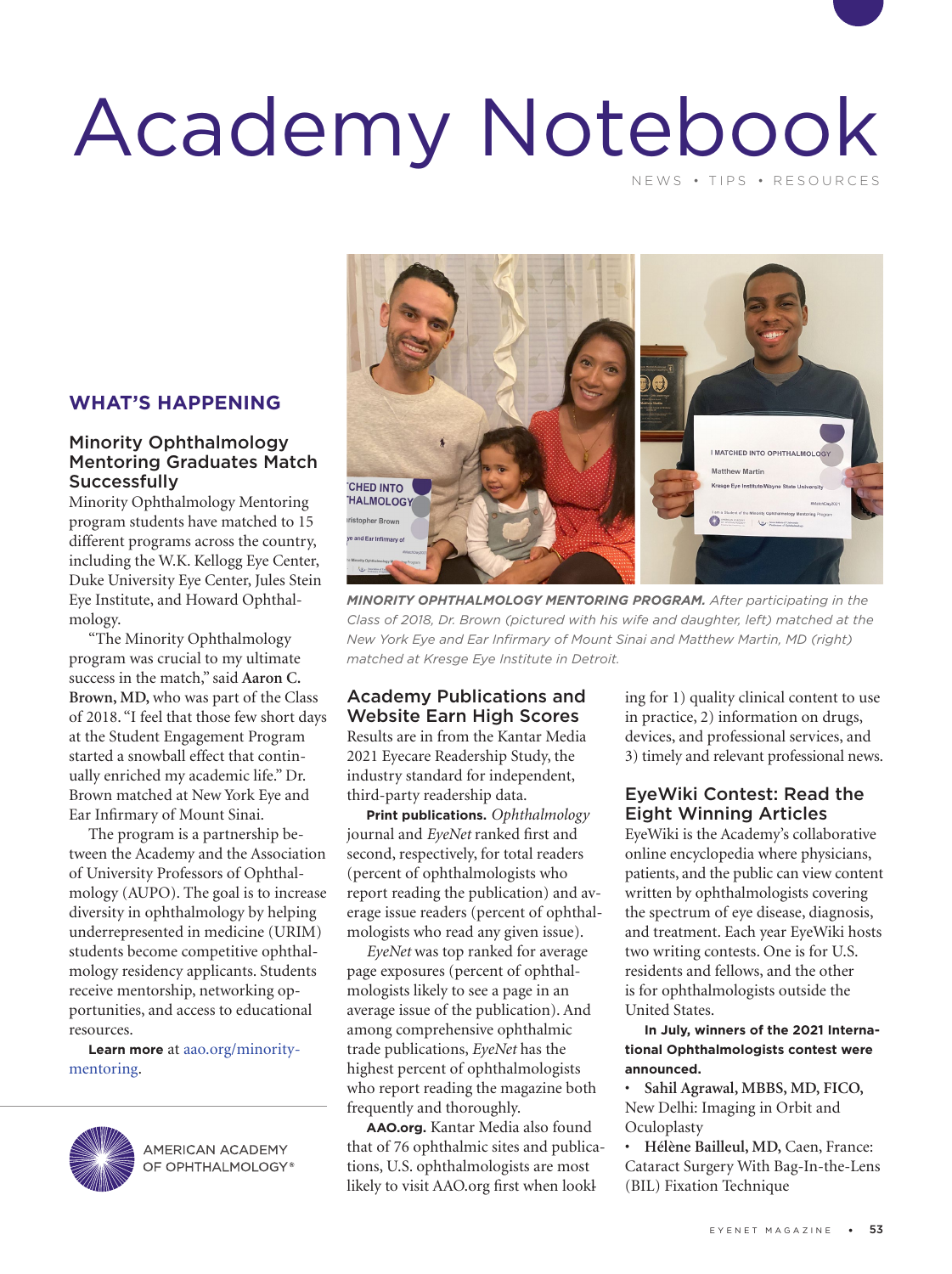## Academy Notebook NEWS • TIPS • RESOURCES

#### **WHAT'S HAPPENING**

#### Minority Ophthalmology Mentoring Graduates Match **Successfully**

Minority Ophthalmology Mentoring program students have matched to 15 different programs across the country, including the W.K. Kellogg Eye Center, Duke University Eye Center, Jules Stein Eye Institute, and Howard Ophthalmology.

"The Minority Ophthalmology program was crucial to my ultimate success in the match," said **Aaron C. Brown, MD,** who was part of the Class of 2018. "I feel that those few short days at the Student Engagement Program started a snowball effect that continually enriched my academic life." Dr. Brown matched at New York Eye and Ear Infirmary of Mount Sinai.

The program is a partnership between the Academy and the Association of University Professors of Ophthalmology (AUPO). The goal is to increase diversity in ophthalmology by helping underrepresented in medicine (URIM) students become competitive ophthalmology residency applicants. Students receive mentorship, networking opportunities, and access to educational resources.

**Learn more** at aao.org/minoritymentoring.



**AMERICAN ACADEMY** OF OPHTHALMOLOGY®



*MINORITY OPHTHALMOLOGY MENTORING PROGRAM. After participating in the Class of 2018, Dr. Brown (pictured with his wife and daughter, left) matched at the New York Eye and Ear Infirmary of Mount Sinai and Matthew Martin, MD (right) matched at Kresge Eye Institute in Detroit.*

#### Academy Publications and Website Earn High Scores

Results are in from the Kantar Media 2021 Eyecare Readership Study, the industry standard for independent, third-party readership data.

**Print publications.** *Ophthalmology* journal and *EyeNet* ranked first and second, respectively, for total readers (percent of ophthalmologists who report reading the publication) and average issue readers (percent of ophthalmologists who read any given issue).

*EyeNet* was top ranked for average page exposures (percent of ophthalmologists likely to see a page in an average issue of the publication). And among comprehensive ophthalmic trade publications, *EyeNet* has the highest percent of ophthalmologists who report reading the magazine both frequently and thoroughly.

**AAO.org.** Kantar Media also found that of 76 ophthalmic sites and publications, U.S. ophthalmologists are most likely to visit [AAO.org](http://www.aao.org) first when lookl

ing for 1) quality clinical content to use in practice, 2) information on drugs, devices, and professional services, and 3) timely and relevant professional news.

#### EyeWiki Contest: Read the Eight Winning Articles

EyeWiki is the Academy's collaborative online encyclopedia where physicians, patients, and the public can view content written by ophthalmologists covering the spectrum of eye disease, diagnosis, and treatment. Each year EyeWiki hosts two writing contests. One is for U.S. residents and fellows, and the other is for ophthalmologists outside the United States.

**In July, winners of the 2021 International Ophthalmologists contest were announced.** 

• **Sahil Agrawal, MBBS, MD, FICO,**  New Delhi: Imaging in Orbit and **Oculoplasty** 

• **Hélène Bailleul, MD,** Caen, France: Cataract Surgery With Bag-In-the-Lens (BIL) Fixation Technique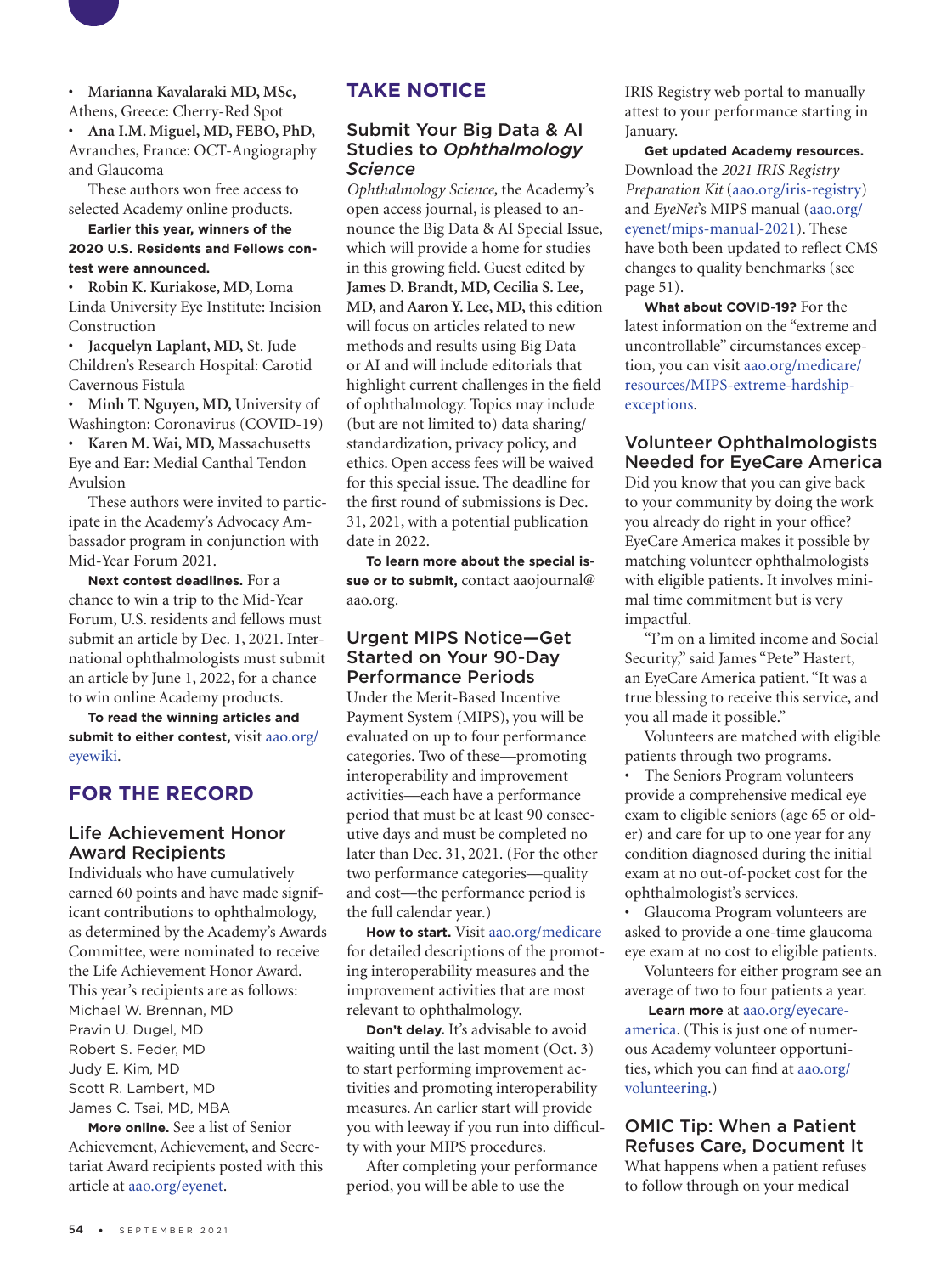

• **Marianna Kavalaraki MD, MSc,**  Athens, Greece: Cherry-Red Spot

• **Ana I.M. Miguel, MD, FEBO, PhD,**  Avranches, France: OCT-Angiography and Glaucoma

These authors won free access to selected Academy online products.

#### **Earlier this year, winners of the 2020 U.S. Residents and Fellows contest were announced.**

• **Robin K. Kuriakose, MD,** Loma Linda University Eye Institute: Incision Construction

• **Jacquelyn Laplant, MD,** St. Jude Children's Research Hospital: Carotid Cavernous Fistula

• **Minh T. Nguyen, MD,** University of Washington: Coronavirus (COVID-19)

• **Karen M. Wai, MD,** Massachusetts Eye and Ear: Medial Canthal Tendon Avulsion

These authors were invited to participate in the Academy's Advocacy Ambassador program in conjunction with Mid-Year Forum 2021.

**Next contest deadlines.** For a chance to win a trip to the Mid-Year Forum, U.S. residents and fellows must submit an article by Dec. 1, 2021. International ophthalmologists must submit an article by June 1, 2022, for a chance to win online Academy products.

**To read the winning articles and submit to either contest,** visit aao.org/ eyewiki.

#### **FOR THE RECORD**

#### Life Achievement Honor Award Recipients

Individuals who have cumulatively earned 60 points and have made significant contributions to ophthalmology, as determined by the Academy's Awards Committee, were nominated to receive the Life Achievement Honor Award. This year's recipients are as follows: Michael W. Brennan, MD Pravin U. Dugel, MD Robert S. Feder, MD Judy E. Kim, MD Scott R. Lambert, MD James C. Tsai, MD, MBA

**More online.** See a list of Senior Achievement, Achievement, and Secretariat Award recipients posted with this article at aao.org/eyenet.

#### **TAKE NOTICE**

#### Submit Your Big Data & AI Studies to *Ophthalmology Science*

*Ophthalmology Science,* the Academy's open access journal, is pleased to announce the Big Data & AI Special Issue, which will provide a home for studies in this growing field. Guest edited by **James D. Brandt, MD, Cecilia S. Lee, MD,** and **Aaron Y. Lee, MD,** this edition will focus on articles related to new methods and results using Big Data or AI and will include editorials that highlight current challenges in the field of ophthalmology. Topics may include (but are not limited to) data sharing/ standardization, privacy policy, and ethics. Open access fees will be waived for this special issue. The deadline for the first round of submissions is Dec. 31, 2021, with a potential publication date in 2022.

**To learn more about the special issue or to submit,** contact [aaojournal@](mailto:aaojournal@aao.org) [aao.org.](mailto:aaojournal@aao.org)

#### Urgent MIPS Notice—Get Started on Your 90-Day Performance Periods

Under the Merit-Based Incentive Payment System (MIPS), you will be evaluated on up to four performance categories. Two of these—promoting interoperability and improvement activities—each have a performance period that must be at least 90 consecutive days and must be completed no later than Dec. 31, 2021. (For the other two performance categories—quality and cost—the performance period is the full calendar year.)

**How to start.** Visit [aao.org/medicare](https://www.aao.org/medicare) for detailed descriptions of the promoting interoperability measures and the improvement activities that are most relevant to ophthalmology.

**Don't delay.** It's advisable to avoid waiting until the last moment (Oct. 3) to start performing improvement activities and promoting interoperability measures. An earlier start will provide you with leeway if you run into difficulty with your MIPS procedures.

After completing your performance period, you will be able to use the

IRIS Registry web portal to manually attest to your performance starting in January.

**Get updated Academy resources.**  Download the *2021 IRIS Registry Preparation Kit* (aao.org/iris-registry) and *EyeNet*'s MIPS manual (aao.org/ eyenet/mips-manual-2021). These have both been updated to reflect CMS changes to quality benchmarks (see page 51).

**What about COVID-19?** For the latest information on the "extreme and uncontrollable" circumstances exception, you can visit [aao.org/medicare/](https://www.aao.org/medicare/resources/MIPS-extreme-hardship-exceptions) [resources/MIPS-extreme-hardship](https://www.aao.org/medicare/resources/MIPS-extreme-hardship-exceptions)[exceptions](https://www.aao.org/medicare/resources/MIPS-extreme-hardship-exceptions).

#### Volunteer Ophthalmologists Needed for EyeCare America

Did you know that you can give back to your community by doing the work you already do right in your office? EyeCare America makes it possible by matching volunteer ophthalmologists with eligible patients. It involves minimal time commitment but is very impactful.

"I'm on a limited income and Social Security," said James "Pete" Hastert, an EyeCare America patient. "It was a true blessing to receive this service, and you all made it possible."

Volunteers are matched with eligible patients through two programs.

• The Seniors Program volunteers provide a comprehensive medical eye exam to eligible seniors (age 65 or older) and care for up to one year for any condition diagnosed during the initial exam at no out-of-pocket cost for the ophthalmologist's services.

• Glaucoma Program volunteers are asked to provide a one-time glaucoma eye exam at no cost to eligible patients.

Volunteers for either program see an average of two to four patients a year.

**Learn more** at aao.org/eyecareamerica. (This is just one of numerous Academy volunteer opportunities, which you can find at aao.org/ volunteering.)

OMIC Tip: When a Patient Refuses Care, Document It What happens when a patient refuses

to follow through on your medical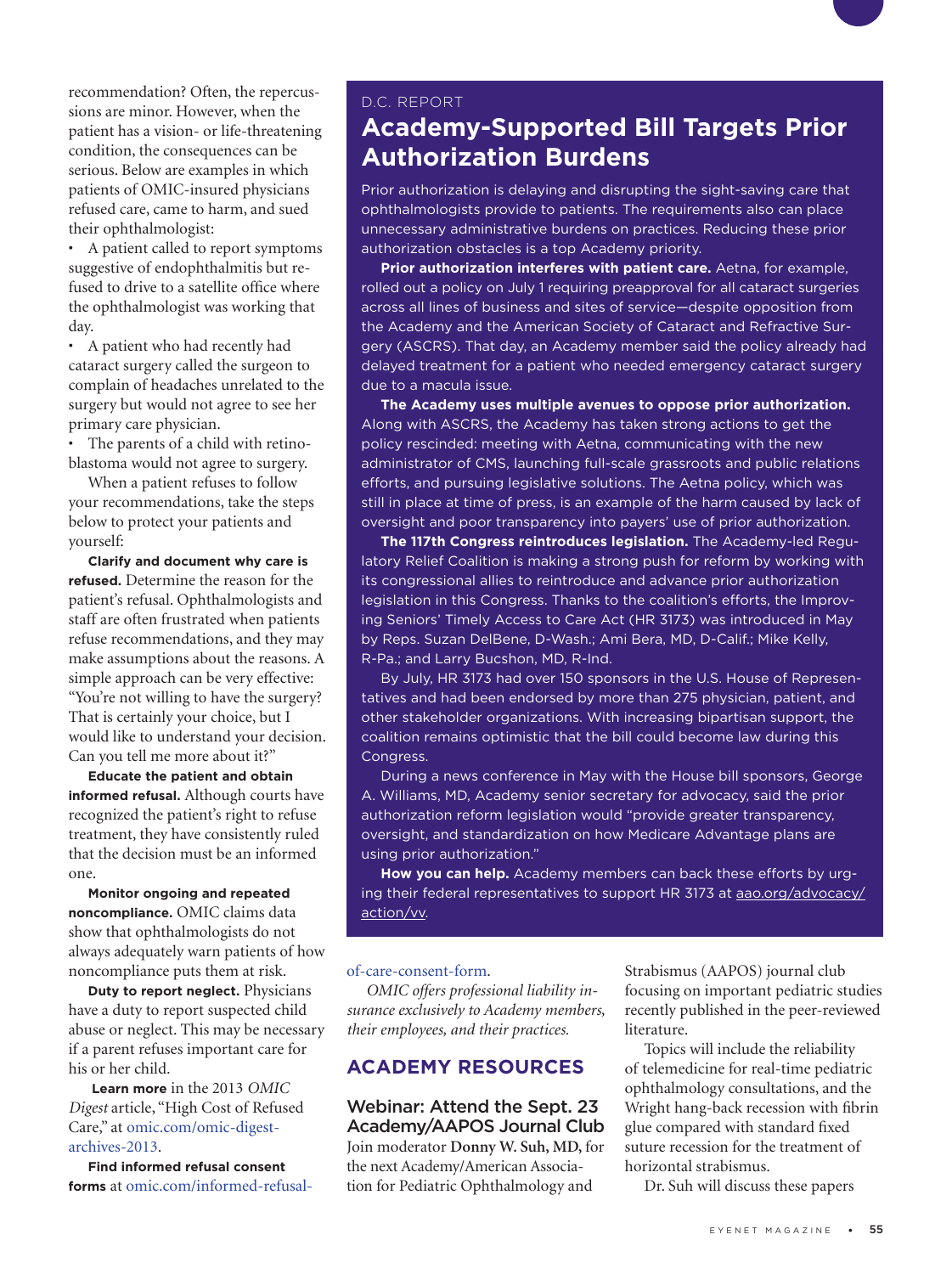recommendation? Often, the repercussions are minor. However, when the patient has a vision- or life-threatening condition, the consequences can be serious. Below are examples in which patients of OMIC-insured physicians refused care, came to harm, and sued their ophthalmologist:

• A patient called to report symptoms suggestive of endophthalmitis but refused to drive to a satellite office where the ophthalmologist was working that day.

• A patient who had recently had cataract surgery called the surgeon to complain of headaches unrelated to the surgery but would not agree to see her primary care physician.

• The parents of a child with retinoblastoma would not agree to surgery.

When a patient refuses to follow your recommendations, take the steps below to protect your patients and yourself:

**Clarify and document why care is refused.** Determine the reason for the patient's refusal. Ophthalmologists and staff are often frustrated when patients refuse recommendations, and they may make assumptions about the reasons. A simple approach can be very effective: "You're not willing to have the surgery? That is certainly your choice, but I would like to understand your decision. Can you tell me more about it?"

**Educate the patient and obtain informed refusal.** Although courts have recognized the patient's right to refuse treatment, they have consistently ruled that the decision must be an informed one.

**Monitor ongoing and repeated noncompliance.** OMIC claims data show that ophthalmologists do not always adequately warn patients of how noncompliance puts them at risk.

**Duty to report neglect.** Physicians have a duty to report suspected child abuse or neglect. This may be necessary if a parent refuses important care for his or her child.

 **Learn more** in the 2013 *OMIC Digest* article, "High Cost of Refused Care," at [omic.com/omic-digest](https://www.omic.com/omic-digest-archives-2013)[archives-2013.](https://www.omic.com/omic-digest-archives-2013)

**Find informed refusal consent forms** at [omic.com/informed-refusal-](https://www.omic.com/informed-refusal-of-care-consent-form)

#### D.C. REPORT

## **Academy-Supported Bill Targets Prior Authorization Burdens**

Prior authorization is delaying and disrupting the sight-saving care that ophthalmologists provide to patients. The requirements also can place unnecessary administrative burdens on practices. Reducing these prior authorization obstacles is a top Academy priority.

**Prior authorization interferes with patient care.** Aetna, for example, rolled out a policy on July 1 requiring preapproval for all cataract surgeries across all lines of business and sites of service—despite opposition from the Academy and the American Society of Cataract and Refractive Surgery (ASCRS). That day, an Academy member said the policy already had delayed treatment for a patient who needed emergency cataract surgery due to a macula issue.

**The Academy uses multiple avenues to oppose prior authorization.**  Along with ASCRS, the Academy has taken strong actions to get the policy rescinded: meeting with Aetna, communicating with the new administrator of CMS, launching full-scale grassroots and public relations efforts, and pursuing legislative solutions. The Aetna policy, which was still in place at time of press, is an example of the harm caused by lack of oversight and poor transparency into payers' use of prior authorization.

**The 117th Congress reintroduces legislation.** The Academy-led Regulatory Relief Coalition is making a strong push for reform by working with its congressional allies to reintroduce and advance prior authorization legislation in this Congress. Thanks to the coalition's efforts, the Improving Seniors' Timely Access to Care Act (HR 3173) was introduced in May by Reps. Suzan DelBene, D-Wash.; Ami Bera, MD, D-Calif.; Mike Kelly, R-Pa.; and Larry Bucshon, MD, R-Ind.

By July, HR 3173 had over 150 sponsors in the U.S. House of Representatives and had been endorsed by more than 275 physician, patient, and other stakeholder organizations. With increasing bipartisan support, the coalition remains optimistic that the bill could become law during this Congress.

During a news conference in May with the House bill sponsors, George A. Williams, MD, Academy senior secretary for advocacy, said the prior authorization reform legislation would "provide greater transparency, oversight, and standardization on how Medicare Advantage plans are using prior authorization."

**How you can help.** Academy members can back these efforts by urging their federal representatives to support HR 3173 at aao.org/advocacy/ action/vv.

#### [of-care-consent-form](https://www.omic.com/informed-refusal-of-care-consent-form).

*OMIC offers professional liability insurance exclusively to Academy members, their employees, and their practices.*

#### **ACADEMY RESOURCES**

Webinar: Attend the Sept. 23 Academy/AAPOS Journal Club Join moderator **Donny W. Suh, MD,** for the next Academy/American Association for Pediatric Ophthalmology and

Strabismus (AAPOS) journal club focusing on important pediatric studies recently published in the peer-reviewed literature.

Topics will include the reliability of telemedicine for real-time pediatric ophthalmology consultations, and the Wright hang-back recession with fibrin glue compared with standard fixed suture recession for the treatment of horizontal strabismus.

Dr. Suh will discuss these papers